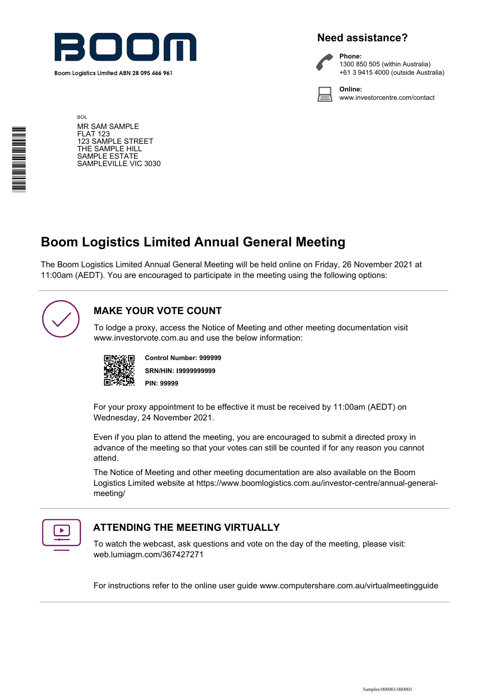

# **Need assistance?**



**Phone:** 1300 850 505 (within Australia) +61 3 9415 4000 (outside Australia)

**Online:** www.investorcentre.com/contact

**BOL** MR SAM SAMPLE FLAT 123 123 SAMPLE STREET THE SAMPLE HILL SAMPLE ESTATE SAMPLEVILLE VIC 3030

# **Boom Logistics Limited Annual General Meeting**

The Boom Logistics Limited Annual General Meeting will be held online on Friday, 26 November 2021 at 11:00am (AEDT). You are encouraged to participate in the meeting using the following options:



# **MAKE YOUR VOTE COUNT**

To lodge a proxy, access the Notice of Meeting and other meeting documentation visit www.investorvote.com.au and use the below information:



**SRN/HIN: I9999999999 Control Number: 999999 PIN: 99999**

For your proxy appointment to be effective it must be received by 11:00am (AEDT) on Wednesday, 24 November 2021.

Even if you plan to attend the meeting, you are encouraged to submit a directed proxy in advance of the meeting so that your votes can still be counted if for any reason you cannot attend.

The Notice of Meeting and other meeting documentation are also available on the Boom Logistics Limited website at https://www.boomlogistics.com.au/investor-centre/annual-generalmeeting/



# **ATTENDING THE MEETING VIRTUALLY**

To watch the webcast, ask questions and vote on the day of the meeting, please visit: web.lumiagm.com/367427271

For instructions refer to the online user guide www.computershare.com.au/virtualmeetingguide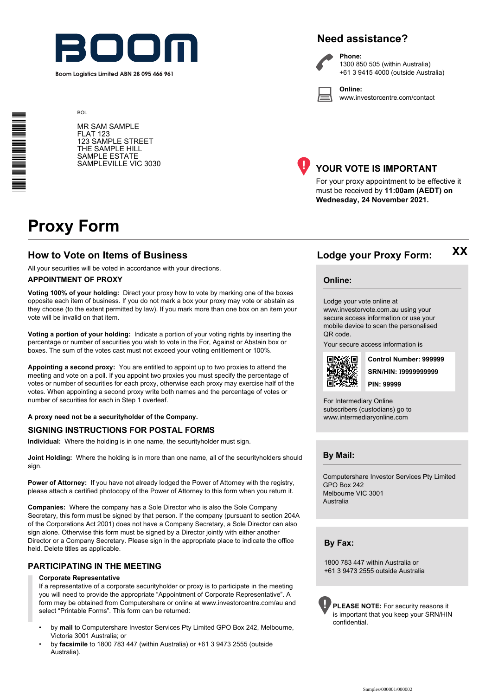

Boom Logistics Limited ABN 28 095 466 961

# **Need assistance?**

**Phone:**

**Online:**



1300 850 505 (within Australia) +61 3 9415 4000 (outside Australia)

www.investorcentre.com/contact

\*I00000101\*

MR SAM SAMPLE FLAT 123 123 SAMPLE STREET THE SAMPLE HILL SAMPLE ESTATE SAMPLEVILLE VIC 3030



# **YOUR VOTE IS IMPORTANT**

For your proxy appointment to be effective it must be received by **11:00am (AEDT) on Wednesday, 24 November 2021.**

# **Proxy Form**

**BOL** 

## **How to Vote on Items of Business Lodge your Proxy Form:**

All your securities will be voted in accordance with your directions.

#### **APPOINTMENT OF PROXY**

**Voting 100% of your holding:** Direct your proxy how to vote by marking one of the boxes opposite each item of business. If you do not mark a box your proxy may vote or abstain as they choose (to the extent permitted by law). If you mark more than one box on an item your vote will be invalid on that item.

**Voting a portion of your holding:** Indicate a portion of your voting rights by inserting the percentage or number of securities you wish to vote in the For, Against or Abstain box or boxes. The sum of the votes cast must not exceed your voting entitlement or 100%.

**Appointing a second proxy:** You are entitled to appoint up to two proxies to attend the meeting and vote on a poll. If you appoint two proxies you must specify the percentage of votes or number of securities for each proxy, otherwise each proxy may exercise half of the votes. When appointing a second proxy write both names and the percentage of votes or number of securities for each in Step 1 overleaf.

**A proxy need not be a securityholder of the Company.**

#### **SIGNING INSTRUCTIONS FOR POSTAL FORMS**

**Individual:** Where the holding is in one name, the securityholder must sign.

**Joint Holding:** Where the holding is in more than one name, all of the securityholders should sign.

**Power of Attorney:** If you have not already lodged the Power of Attorney with the registry, please attach a certified photocopy of the Power of Attorney to this form when you return it.

**Companies:** Where the company has a Sole Director who is also the Sole Company Secretary, this form must be signed by that person. If the company (pursuant to section 204A of the Corporations Act 2001) does not have a Company Secretary, a Sole Director can also sign alone. Otherwise this form must be signed by a Director jointly with either another Director or a Company Secretary. Please sign in the appropriate place to indicate the office held. Delete titles as applicable.

## **PARTICIPATING IN THE MEETING**

#### **Corporate Representative**

If a representative of a corporate securityholder or proxy is to participate in the meeting you will need to provide the appropriate "Appointment of Corporate Representative". A form may be obtained from Computershare or online at www.investorcentre.com/au and select "Printable Forms". This form can be returned:

- by **mail** to Computershare Investor Services Pty Limited GPO Box 242, Melbourne, Victoria 3001 Australia; or
- by **facsimile** to 1800 783 447 (within Australia) or +61 3 9473 2555 (outside Australia).

**Online:**

Lodge your vote online at

www.investorvote.com.au using your secure access information or use your mobile device to scan the personalised QR code.

Your secure access information is



**SRN/HIN: I9999999999 Control Number: 999999 PIN: 99999**

**XX**

For Intermediary Online subscribers (custodians) go to www.intermediaryonline.com

**By Mail:**

Computershare Investor Services Pty Limited GPO Box 242 Melbourne VIC 3001 Australia

**By Fax:**

1800 783 447 within Australia or +61 3 9473 2555 outside Australia

**PLEASE NOTE:** For security reasons it is important that you keep your SRN/HIN confidential.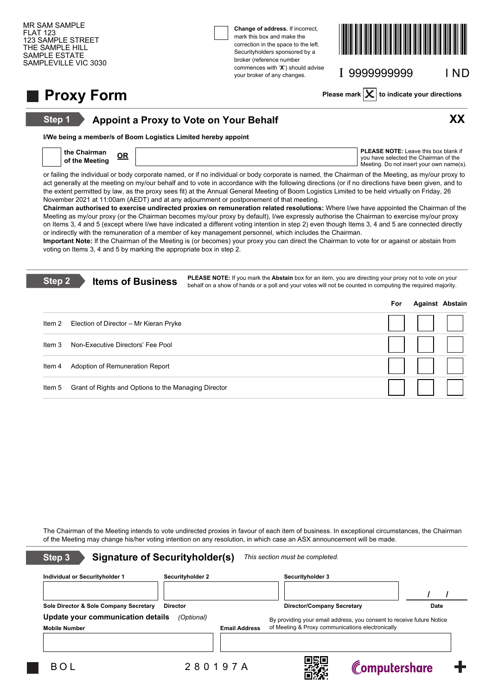**Step 1**

**Change of address.** If incorrect, mark this box and make the correction in the space to the left. Securityholders sponsored by a broker (reference number commences with '**X**') should advise your broker of any changes.



I 9999999999 I ND

# **Proxy Form Please mark**  $X$  to indicate your directions

# **Appoint a Proxy to Vote on Your Behalf XX**



**I/We being a member/s of Boom Logistics Limited hereby appoint**

| the Chairman   | <b>PLEASE NOTE:</b> Leave this box blank if<br>vou have selected the Chairman of the |
|----------------|--------------------------------------------------------------------------------------|
| of the Meeting | Meeting. Do not insert your own name(s).                                             |

or failing the individual or body corporate named, or if no individual or body corporate is named, the Chairman of the Meeting, as my/our proxy to act generally at the meeting on my/our behalf and to vote in accordance with the following directions (or if no directions have been given, and to the extent permitted by law, as the proxy sees fit) at the Annual General Meeting of Boom Logistics Limited to be held virtually on Friday, 26 November 2021 at 11:00am (AEDT) and at any adjournment or postponement of that meeting.

**Chairman authorised to exercise undirected proxies on remuneration related resolutions:** Where I/we have appointed the Chairman of the Meeting as my/our proxy (or the Chairman becomes my/our proxy by default), I/we expressly authorise the Chairman to exercise my/our proxy on Items 3, 4 and 5 (except where I/we have indicated a different voting intention in step 2) even though Items 3, 4 and 5 are connected directly or indirectly with the remuneration of a member of key management personnel, which includes the Chairman.

**Important Note:** If the Chairman of the Meeting is (or becomes) your proxy you can direct the Chairman to vote for or against or abstain from voting on Items 3, 4 and 5 by marking the appropriate box in step 2.

| Step 2 | <b>Items of Business</b>                             | <b>PLEASE NOTE:</b> If you mark the <b>Abstain</b> box for an item, you are directing your proxy not to vote on your<br>behalf on a show of hands or a poll and your votes will not be counted in computing the required majority. |     |                        |  |
|--------|------------------------------------------------------|------------------------------------------------------------------------------------------------------------------------------------------------------------------------------------------------------------------------------------|-----|------------------------|--|
|        |                                                      |                                                                                                                                                                                                                                    | For | <b>Against Abstain</b> |  |
| Item 2 | Election of Director – Mr Kieran Pryke               |                                                                                                                                                                                                                                    |     |                        |  |
| Item 3 | Non-Executive Directors' Fee Pool                    |                                                                                                                                                                                                                                    |     |                        |  |
| Item 4 | Adoption of Remuneration Report                      |                                                                                                                                                                                                                                    |     |                        |  |
| Item 5 | Grant of Rights and Options to the Managing Director |                                                                                                                                                                                                                                    |     |                        |  |

The Chairman of the Meeting intends to vote undirected proxies in favour of each item of business. In exceptional circumstances, the Chairman of the Meeting may change his/her voting intention on any resolution, in which case an ASX announcement will be made.

| Step 3                                 | <b>Signature of Securityholder(s)</b> |                      | This section must be completed.                                       |               |      |
|----------------------------------------|---------------------------------------|----------------------|-----------------------------------------------------------------------|---------------|------|
| Individual or Securityholder 1         | <b>Securityholder 2</b>               |                      | Securityholder 3                                                      |               |      |
|                                        |                                       |                      |                                                                       |               |      |
| Sole Director & Sole Company Secretary | <b>Director</b>                       |                      | <b>Director/Company Secretary</b>                                     |               | Date |
| Update your communication details      | (Optional)                            |                      | By providing your email address, you consent to receive future Notice |               |      |
| <b>Mobile Number</b>                   |                                       | <b>Email Address</b> | of Meeting & Proxy communications electronically                      |               |      |
|                                        |                                       |                      |                                                                       |               |      |
| BOL                                    |                                       | 280197A              |                                                                       | Computershare |      |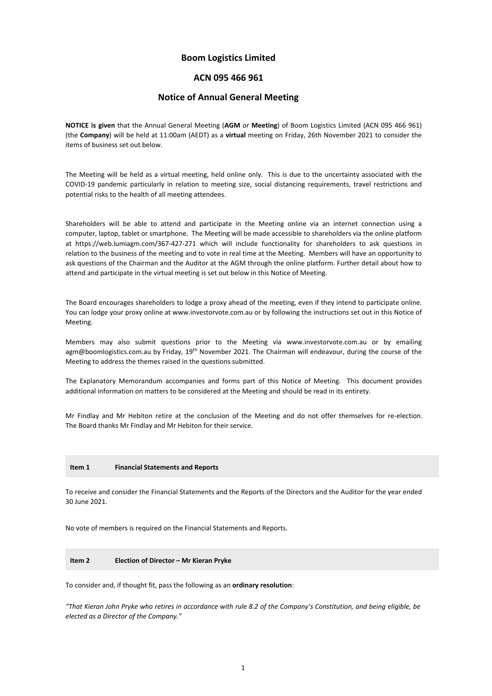## **Boom Logistics Limited**

### **ACN 095 466 961**

#### **Notice of Annual General Meeting**

**NOTICE is given** that the Annual General Meeting (**AGM** *or* **Meeting**) of Boom Logistics Limited (ACN 095 466 961) (the **Company**) will be held at 11:00am (AEDT) as a **virtual** meeting on Friday, 26th November 2021 to consider the items of business set out below.

The Meeting will be held as a virtual meeting, held online only. This is due to the uncertainty associated with the COVID-19 pandemic particularly in relation to meeting size, social distancing requirements, travel restrictions and potential risks to the health of all meeting attendees.

Shareholders will be able to attend and participate in the Meeting online via an internet connection using a computer, laptop, tablet or smartphone. The Meeting will be made accessible to shareholders via the online platform at https://web.lumiagm.com/367-427-271 which will include functionality for shareholders to ask questions in relation to the business of the meeting and to vote in real time at the Meeting. Members will have an opportunity to ask questions of the Chairman and the Auditor at the AGM through the online platform. Further detail about how to attend and participate in the virtual meeting is set out below in this Notice of Meeting.

The Board encourages shareholders to lodge a proxy ahead of the meeting, even if they intend to participate online. You can lodge your proxy online at www.investorvote.com.au or by following the instructions set out in this Notice of Meeting.

Members may also submit questions prior to the Meeting via www.investorvote.com.au or by emailing agm@boomlogistics.com.au by Friday, 19<sup>th</sup> November 2021. The Chairman will endeavour, during the course of the Meeting to address the themes raised in the questions submitted.

The Explanatory Memorandum accompanies and forms part of this Notice of Meeting. This document provides additional information on matters to be considered at the Meeting and should be read in its entirety.

Mr Findlay and Mr Hebiton retire at the conclusion of the Meeting and do not offer themselves for re-election. The Board thanks Mr Findlay and Mr Hebiton for their service.

#### **Item 1 Financial Statements and Reports**

To receive and consider the Financial Statements and the Reports of the Directors and the Auditor for the year ended 30 June 2021.

No vote of members is required on the Financial Statements and Reports.

#### **Item 2 Election of Director – Mr Kieran Pryke**

To consider and, if thought fit, pass the following as an **ordinary resolution**:

*"That Kieran John Pryke who retires in accordance with rule 8.2 of the Company's Constitution, and being eligible, be elected as a Director of the Company."*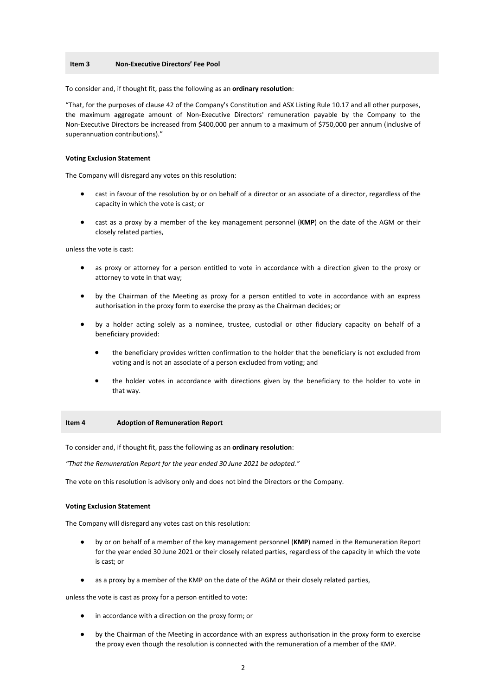#### **Item 3 Non-Executive Directors' Fee Pool**

To consider and, if thought fit, pass the following as an **ordinary resolution**:

"That, for the purposes of clause 42 of the Company's Constitution and ASX Listing Rule 10.17 and all other purposes, the maximum aggregate amount of Non-Executive Directors' remuneration payable by the Company to the Non-Executive Directors be increased from \$400,000 per annum to a maximum of \$750,000 per annum (inclusive of superannuation contributions)."

#### **Voting Exclusion Statement**

The Company will disregard any votes on this resolution:

- cast in favour of the resolution by or on behalf of a director or an associate of a director, regardless of the capacity in which the vote is cast; or
- cast as a proxy by a member of the key management personnel (**KMP**) on the date of the AGM or their closely related parties,

unless the vote is cast:

- as proxy or attorney for a person entitled to vote in accordance with a direction given to the proxy or attorney to vote in that way;
- by the Chairman of the Meeting as proxy for a person entitled to vote in accordance with an express authorisation in the proxy form to exercise the proxy as the Chairman decides; or
- by a holder acting solely as a nominee, trustee, custodial or other fiduciary capacity on behalf of a beneficiary provided:
	- the beneficiary provides written confirmation to the holder that the beneficiary is not excluded from voting and is not an associate of a person excluded from voting; and
	- the holder votes in accordance with directions given by the beneficiary to the holder to vote in that way.

#### **Item 4 Adoption of Remuneration Report**

To consider and, if thought fit, pass the following as an **ordinary resolution**:

*"That the Remuneration Report for the year ended 30 June 2021 be adopted."* 

The vote on this resolution is advisory only and does not bind the Directors or the Company.

#### **Voting Exclusion Statement**

The Company will disregard any votes cast on this resolution:

- by or on behalf of a member of the key management personnel (**KMP**) named in the Remuneration Report for the year ended 30 June 2021 or their closely related parties, regardless of the capacity in which the vote is cast; or
- as a proxy by a member of the KMP on the date of the AGM or their closely related parties,

unless the vote is cast as proxy for a person entitled to vote:

- in accordance with a direction on the proxy form; or
- by the Chairman of the Meeting in accordance with an express authorisation in the proxy form to exercise the proxy even though the resolution is connected with the remuneration of a member of the KMP.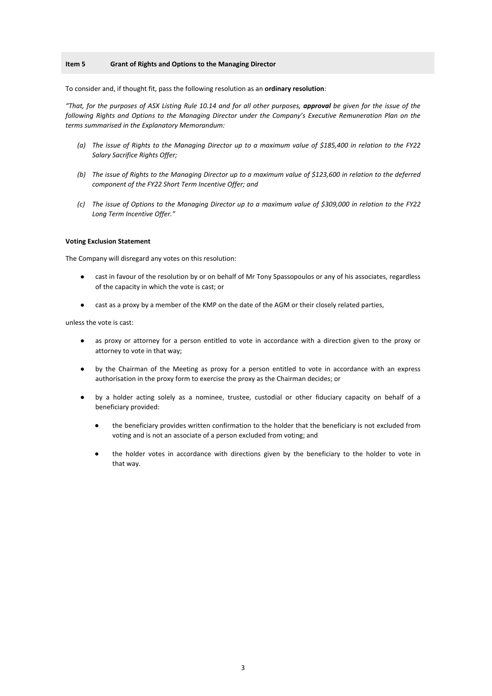#### **Item 5 Grant of Rights and Options to the Managing Director**

To consider and, if thought fit, pass the following resolution as an **ordinary resolution**:

*"That, for the purposes of ASX Listing Rule 10.14 and for all other purposes, approval be given for the issue of the following Rights and Options to the Managing Director under the Company's Executive Remuneration Plan on the terms summarised in the Explanatory Memorandum:* 

- *(a) The issue of Rights to the Managing Director up to a maximum value of \$185,400 in relation to the FY22 Salary Sacrifice Rights Offer;*
- *(b) The issue of Rights to the Managing Director up to a maximum value of \$123,600 in relation to the deferred component of the FY22 Short Term Incentive Offer; and*
- *(c) The issue of Options to the Managing Director up to a maximum value of \$309,000 in relation to the FY22 Long Term Incentive Offer."*

#### **Voting Exclusion Statement**

The Company will disregard any votes on this resolution:

- cast in favour of the resolution by or on behalf of Mr Tony Spassopoulos or any of his associates, regardless of the capacity in which the vote is cast; or
- cast as a proxy by a member of the KMP on the date of the AGM or their closely related parties,

unless the vote is cast:

- as proxy or attorney for a person entitled to vote in accordance with a direction given to the proxy or attorney to vote in that way;
- by the Chairman of the Meeting as proxy for a person entitled to vote in accordance with an express authorisation in the proxy form to exercise the proxy as the Chairman decides; or
- by a holder acting solely as a nominee, trustee, custodial or other fiduciary capacity on behalf of a beneficiary provided:
	- the beneficiary provides written confirmation to the holder that the beneficiary is not excluded from voting and is not an associate of a person excluded from voting; and
	- the holder votes in accordance with directions given by the beneficiary to the holder to vote in that way.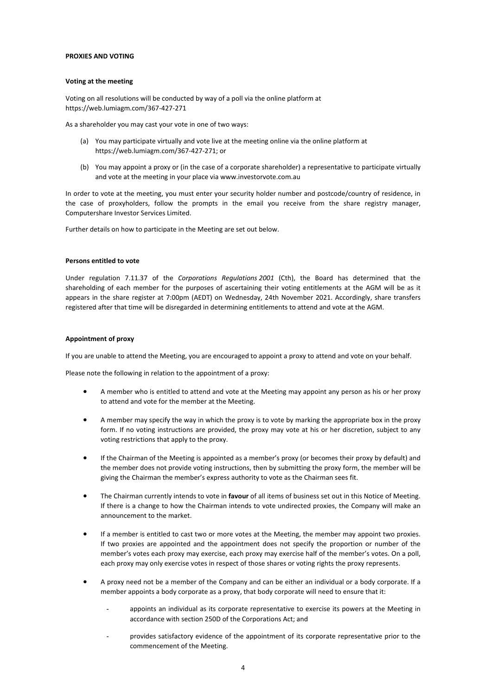#### **PROXIES AND VOTING**

#### **Voting at the meeting**

Voting on all resolutions will be conducted by way of a poll via the online platform at https://web.lumiagm.com/367-427-271

As a shareholder you may cast your vote in one of two ways:

- (a) You may participate virtually and vote live at the meeting online via the online platform at https://web.lumiagm.com/367-427-271; or
- (b) You may appoint a proxy or (in the case of a corporate shareholder) a representative to participate virtually and vote at the meeting in your place via www.investorvote.com.au

In order to vote at the meeting, you must enter your security holder number and postcode/country of residence, in the case of proxyholders, follow the prompts in the email you receive from the share registry manager, Computershare Investor Services Limited.

Further details on how to participate in the Meeting are set out below.

#### **Persons entitled to vote**

Under regulation 7.11.37 of the *Corporations Regulations 2001* (Cth), the Board has determined that the shareholding of each member for the purposes of ascertaining their voting entitlements at the AGM will be as it appears in the share register at 7:00pm (AEDT) on Wednesday, 24th November 2021. Accordingly, share transfers registered after that time will be disregarded in determining entitlements to attend and vote at the AGM.

#### **Appointment of proxy**

If you are unable to attend the Meeting, you are encouraged to appoint a proxy to attend and vote on your behalf.

Please note the following in relation to the appointment of a proxy:

- A member who is entitled to attend and vote at the Meeting may appoint any person as his or her proxy to attend and vote for the member at the Meeting.
- A member may specify the way in which the proxy is to vote by marking the appropriate box in the proxy form. If no voting instructions are provided, the proxy may vote at his or her discretion, subject to any voting restrictions that apply to the proxy.
- If the Chairman of the Meeting is appointed as a member's proxy (or becomes their proxy by default) and the member does not provide voting instructions, then by submitting the proxy form, the member will be giving the Chairman the member's express authority to vote as the Chairman sees fit.
- The Chairman currently intends to vote in **favour** of all items of business set out in this Notice of Meeting. If there is a change to how the Chairman intends to vote undirected proxies, the Company will make an announcement to the market.
- If a member is entitled to cast two or more votes at the Meeting, the member may appoint two proxies. If two proxies are appointed and the appointment does not specify the proportion or number of the member's votes each proxy may exercise, each proxy may exercise half of the member's votes. On a poll, each proxy may only exercise votes in respect of those shares or voting rights the proxy represents.
- A proxy need not be a member of the Company and can be either an individual or a body corporate. If a member appoints a body corporate as a proxy, that body corporate will need to ensure that it:
	- appoints an individual as its corporate representative to exercise its powers at the Meeting in accordance with section 250D of the Corporations Act; and
	- provides satisfactory evidence of the appointment of its corporate representative prior to the commencement of the Meeting.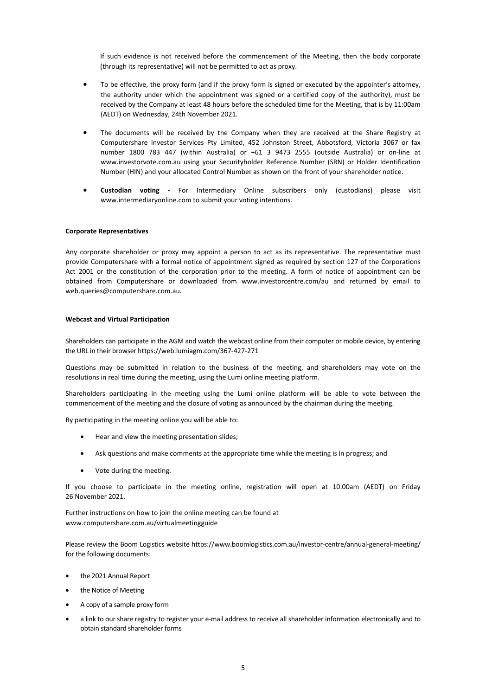If such evidence is not received before the commencement of the Meeting, then the body corporate (through its representative) will not be permitted to act as proxy.

- To be effective, the proxy form (and if the proxy form is signed or executed by the appointer's attorney, the authority under which the appointment was signed or a certified copy of the authority), must be received by the Company at least 48 hours before the scheduled time for the Meeting, that is by 11:00am (AEDT) on Wednesday, 24th November 2021.
- The documents will be received by the Company when they are received at the Share Registry at Computershare Investor Services Pty Limited, 452 Johnston Street, Abbotsford, Victoria 3067 or fax number 1800 783 447 (within Australia) or +61 3 9473 2555 (outside Australia) or on-line at www.investorvote.com.au using your Securityholder Reference Number (SRN) or Holder Identification Number (HIN) and your allocated Control Number as shown on the front of your shareholder notice.
- **Custodian voting** For Intermediary Online subscribers only (custodians) please visit www.intermediaryonline.com to submit your voting intentions.

#### **Corporate Representatives**

Any corporate shareholder or proxy may appoint a person to act as its representative. The representative must provide Computershare with a formal notice of appointment signed as required by section 127 of the Corporations Act 2001 or the constitution of the corporation prior to the meeting. A form of notice of appointment can be obtained from Computershare or downloaded from www.investorcentre.com/au and returned by email to web.queries@computershare.com.au.

#### **Webcast and Virtual Participation**

Shareholders can participate in the AGM and watch the webcast online from their computer or mobile device, by entering the URL in their browser https://web.lumiagm.com/367-427-271

Questions may be submitted in relation to the business of the meeting, and shareholders may vote on the resolutions in real time during the meeting, using the Lumi online meeting platform.

Shareholders participating in the meeting using the Lumi online platform will be able to vote between the commencement of the meeting and the closure of voting as announced by the chairman during the meeting.

By participating in the meeting online you will be able to:

- Hear and view the meeting presentation slides;
- Ask questions and make comments at the appropriate time while the meeting is in progress; and
- Vote during the meeting.

If you choose to participate in the meeting online, registration will open at 10.00am (AEDT) on Friday 26 November 2021.

Further instructions on how to join the online meeting can be found at www.computershare.com.au/virtualmeetingguide

Please review the Boom Logistics website https://www.boomlogistics.com.au/investor-centre/annual-general-meeting/ for the following documents:

- the 2021 Annual Report
- the Notice of Meeting
- A copy of a sample proxy form
- a link to our share registry to register your e-mail address to receive all shareholder information electronically and to obtain standard shareholder forms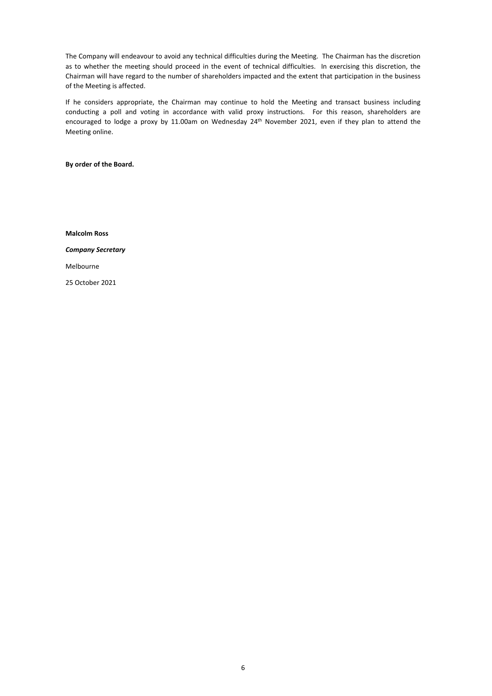The Company will endeavour to avoid any technical difficulties during the Meeting. The Chairman has the discretion as to whether the meeting should proceed in the event of technical difficulties. In exercising this discretion, the Chairman will have regard to the number of shareholders impacted and the extent that participation in the business of the Meeting is affected.

If he considers appropriate, the Chairman may continue to hold the Meeting and transact business including conducting a poll and voting in accordance with valid proxy instructions. For this reason, shareholders are encouraged to lodge a proxy by 11.00am on Wednesday 24<sup>th</sup> November 2021, even if they plan to attend the Meeting online.

**By order of the Board.** 

**Malcolm Ross**  *Company Secretary*  Melbourne 25 October 2021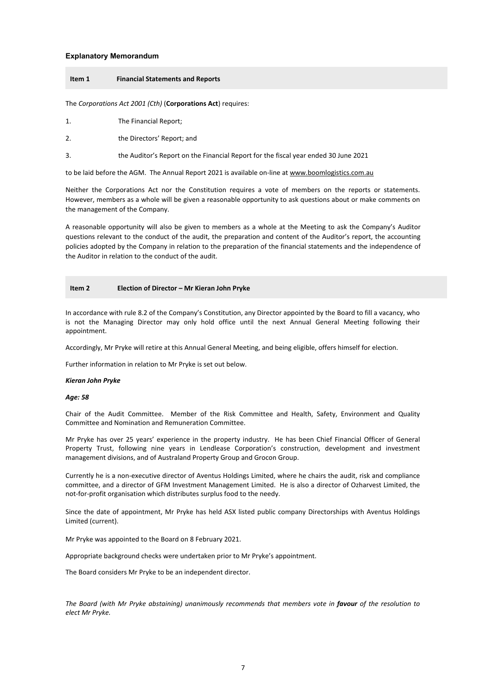#### **Explanatory Memorandum**

#### **Item 1 Financial Statements and Reports**

The *Corporations Act 2001 (Cth)* (**Corporations Act**) requires:

- 1. The Financial Report;
- 2. the Directors' Report; and
- 3. the Auditor's Report on the Financial Report for the fiscal year ended 30 June 2021

to be laid before the AGM. The Annual Report 2021 is available on-line at www.boomlogistics.com.au

Neither the Corporations Act nor the Constitution requires a vote of members on the reports or statements. However, members as a whole will be given a reasonable opportunity to ask questions about or make comments on the management of the Company.

A reasonable opportunity will also be given to members as a whole at the Meeting to ask the Company's Auditor questions relevant to the conduct of the audit, the preparation and content of the Auditor's report, the accounting policies adopted by the Company in relation to the preparation of the financial statements and the independence of the Auditor in relation to the conduct of the audit.

#### **Item 2 Election of Director – Mr Kieran John Pryke**

In accordance with rule 8.2 of the Company's Constitution, any Director appointed by the Board to fill a vacancy, who is not the Managing Director may only hold office until the next Annual General Meeting following their appointment.

Accordingly, Mr Pryke will retire at this Annual General Meeting, and being eligible, offers himself for election.

Further information in relation to Mr Pryke is set out below.

#### *Kieran John Pryke*

*Age: 58* 

Chair of the Audit Committee. Member of the Risk Committee and Health, Safety, Environment and Quality Committee and Nomination and Remuneration Committee.

Mr Pryke has over 25 years' experience in the property industry. He has been Chief Financial Officer of General Property Trust, following nine years in Lendlease Corporation's construction, development and investment management divisions, and of Australand Property Group and Grocon Group.

Currently he is a non-executive director of Aventus Holdings Limited, where he chairs the audit, risk and compliance committee, and a director of GFM Investment Management Limited. He is also a director of Ozharvest Limited, the not-for-profit organisation which distributes surplus food to the needy.

Since the date of appointment, Mr Pryke has held ASX listed public company Directorships with Aventus Holdings Limited (current).

Mr Pryke was appointed to the Board on 8 February 2021.

Appropriate background checks were undertaken prior to Mr Pryke's appointment.

The Board considers Mr Pryke to be an independent director.

*The Board (with Mr Pryke abstaining) unanimously recommends that members vote in favour of the resolution to elect Mr Pryke.*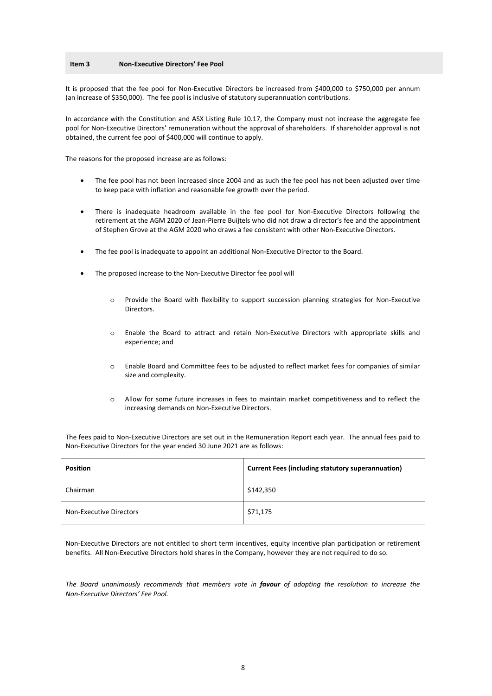#### **Item 3 Non-Executive Directors' Fee Pool**

It is proposed that the fee pool for Non-Executive Directors be increased from \$400,000 to \$750,000 per annum (an increase of \$350,000). The fee pool is inclusive of statutory superannuation contributions.

In accordance with the Constitution and ASX Listing Rule 10.17, the Company must not increase the aggregate fee pool for Non-Executive Directors' remuneration without the approval of shareholders. If shareholder approval is not obtained, the current fee pool of \$400,000 will continue to apply.

The reasons for the proposed increase are as follows:

- The fee pool has not been increased since 2004 and as such the fee pool has not been adjusted over time to keep pace with inflation and reasonable fee growth over the period.
- There is inadequate headroom available in the fee pool for Non-Executive Directors following the retirement at the AGM 2020 of Jean-Pierre Buijtels who did not draw a director's fee and the appointment of Stephen Grove at the AGM 2020 who draws a fee consistent with other Non-Executive Directors.
- The fee pool is inadequate to appoint an additional Non-Executive Director to the Board.
- The proposed increase to the Non-Executive Director fee pool will
	- o Provide the Board with flexibility to support succession planning strategies for Non-Executive Directors.
	- o Enable the Board to attract and retain Non-Executive Directors with appropriate skills and experience; and
	- o Enable Board and Committee fees to be adjusted to reflect market fees for companies of similar size and complexity.
	- o Allow for some future increases in fees to maintain market competitiveness and to reflect the increasing demands on Non-Executive Directors.

The fees paid to Non-Executive Directors are set out in the Remuneration Report each year. The annual fees paid to Non-Executive Directors for the year ended 30 June 2021 are as follows:

| <b>Position</b>         | <b>Current Fees (including statutory superannuation)</b> |
|-------------------------|----------------------------------------------------------|
| Chairman                | \$142,350                                                |
| Non-Executive Directors | \$71,175                                                 |

Non-Executive Directors are not entitled to short term incentives, equity incentive plan participation or retirement benefits. All Non-Executive Directors hold shares in the Company, however they are not required to do so.

*The Board unanimously recommends that members vote in favour of adopting the resolution to increase the Non-Executive Directors' Fee Pool.*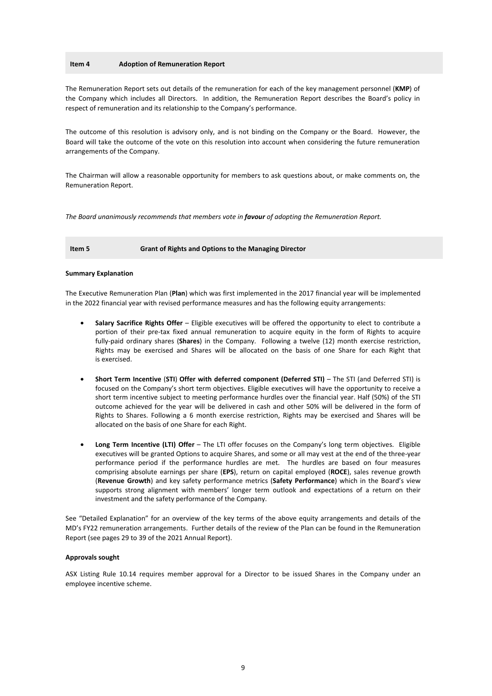#### **Item 4 Adoption of Remuneration Report**

The Remuneration Report sets out details of the remuneration for each of the key management personnel (**KMP**) of the Company which includes all Directors. In addition, the Remuneration Report describes the Board's policy in respect of remuneration and its relationship to the Company's performance.

The outcome of this resolution is advisory only, and is not binding on the Company or the Board. However, the Board will take the outcome of the vote on this resolution into account when considering the future remuneration arrangements of the Company.

The Chairman will allow a reasonable opportunity for members to ask questions about, or make comments on, the Remuneration Report.

*The Board unanimously recommends that members vote in favour of adopting the Remuneration Report.* 

**Item 5 Grant of Rights and Options to the Managing Director** 

#### **Summary Explanation**

The Executive Remuneration Plan (**Plan**) which was first implemented in the 2017 financial year will be implemented in the 2022 financial year with revised performance measures and has the following equity arrangements:

- **Salary Sacrifice Rights Offer** Eligible executives will be offered the opportunity to elect to contribute a portion of their pre-tax fixed annual remuneration to acquire equity in the form of Rights to acquire fully-paid ordinary shares (**Shares**) in the Company. Following a twelve (12) month exercise restriction, Rights may be exercised and Shares will be allocated on the basis of one Share for each Right that is exercised.
- **Short Term Incentive** (**STI**) **Offer with deferred component (Deferred STI)** The STI (and Deferred STI) is focused on the Company's short term objectives. Eligible executives will have the opportunity to receive a short term incentive subject to meeting performance hurdles over the financial year. Half (50%) of the STI outcome achieved for the year will be delivered in cash and other 50% will be delivered in the form of Rights to Shares. Following a 6 month exercise restriction, Rights may be exercised and Shares will be allocated on the basis of one Share for each Right.
- **Long Term Incentive (LTI) Offer** The LTI offer focuses on the Company's long term objectives. Eligible executives will be granted Options to acquire Shares, and some or all may vest at the end of the three-year performance period if the performance hurdles are met. The hurdles are based on four measures comprising absolute earnings per share (**EPS**), return on capital employed (**ROCE**), sales revenue growth (**Revenue Growth**) and key safety performance metrics (**Safety Performance**) which in the Board's view supports strong alignment with members' longer term outlook and expectations of a return on their investment and the safety performance of the Company.

See "Detailed Explanation" for an overview of the key terms of the above equity arrangements and details of the MD's FY22 remuneration arrangements. Further details of the review of the Plan can be found in the Remuneration Report (see pages 29 to 39 of the 2021 Annual Report).

#### **Approvals sought**

ASX Listing Rule 10.14 requires member approval for a Director to be issued Shares in the Company under an employee incentive scheme.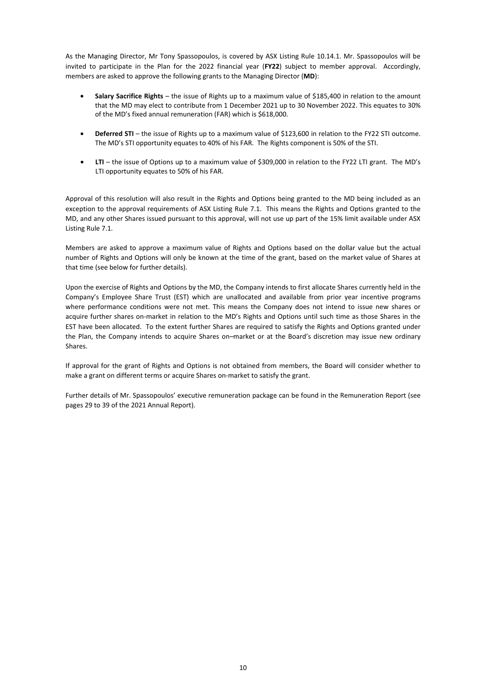As the Managing Director, Mr Tony Spassopoulos, is covered by ASX Listing Rule 10.14.1. Mr. Spassopoulos will be invited to participate in the Plan for the 2022 financial year (**FY22**) subject to member approval. Accordingly, members are asked to approve the following grants to the Managing Director (**MD**):

- **Salary Sacrifice Rights**  the issue of Rights up to a maximum value of \$185,400 in relation to the amount that the MD may elect to contribute from 1 December 2021 up to 30 November 2022. This equates to 30% of the MD's fixed annual remuneration (FAR) which is \$618,000.
- **Deferred STI** the issue of Rights up to a maximum value of \$123,600 in relation to the FY22 STI outcome. The MD's STI opportunity equates to 40% of his FAR. The Rights component is 50% of the STI.
- **LTI** the issue of Options up to a maximum value of \$309,000 in relation to the FY22 LTI grant. The MD's LTI opportunity equates to 50% of his FAR.

Approval of this resolution will also result in the Rights and Options being granted to the MD being included as an exception to the approval requirements of ASX Listing Rule 7.1. This means the Rights and Options granted to the MD, and any other Shares issued pursuant to this approval, will not use up part of the 15% limit available under ASX Listing Rule 7.1.

Members are asked to approve a maximum value of Rights and Options based on the dollar value but the actual number of Rights and Options will only be known at the time of the grant, based on the market value of Shares at that time (see below for further details).

Upon the exercise of Rights and Options by the MD, the Company intends to first allocate Shares currently held in the Company's Employee Share Trust (EST) which are unallocated and available from prior year incentive programs where performance conditions were not met. This means the Company does not intend to issue new shares or acquire further shares on-market in relation to the MD's Rights and Options until such time as those Shares in the EST have been allocated. To the extent further Shares are required to satisfy the Rights and Options granted under the Plan, the Company intends to acquire Shares on–market or at the Board's discretion may issue new ordinary Shares.

If approval for the grant of Rights and Options is not obtained from members, the Board will consider whether to make a grant on different terms or acquire Shares on-market to satisfy the grant.

Further details of Mr. Spassopoulos' executive remuneration package can be found in the Remuneration Report (see pages 29 to 39 of the 2021 Annual Report).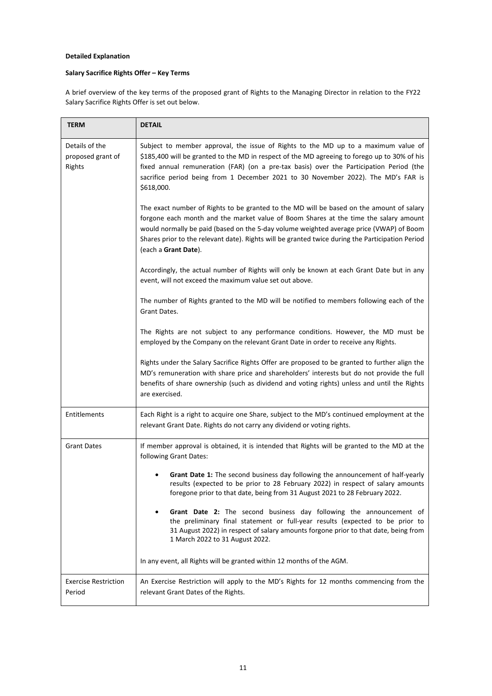### **Detailed Explanation**

## **Salary Sacrifice Rights Offer – Key Terms**

A brief overview of the key terms of the proposed grant of Rights to the Managing Director in relation to the FY22 Salary Sacrifice Rights Offer is set out below.

| TERM                                          | <b>DETAIL</b>                                                                                                                                                                                                                                                                                                                                                                                           |
|-----------------------------------------------|---------------------------------------------------------------------------------------------------------------------------------------------------------------------------------------------------------------------------------------------------------------------------------------------------------------------------------------------------------------------------------------------------------|
| Details of the<br>proposed grant of<br>Rights | Subject to member approval, the issue of Rights to the MD up to a maximum value of<br>\$185,400 will be granted to the MD in respect of the MD agreeing to forego up to 30% of his<br>fixed annual remuneration (FAR) (on a pre-tax basis) over the Participation Period (the<br>sacrifice period being from 1 December 2021 to 30 November 2022). The MD's FAR is<br>\$618,000.                        |
|                                               | The exact number of Rights to be granted to the MD will be based on the amount of salary<br>forgone each month and the market value of Boom Shares at the time the salary amount<br>would normally be paid (based on the 5-day volume weighted average price (VWAP) of Boom<br>Shares prior to the relevant date). Rights will be granted twice during the Participation Period<br>(each a Grant Date). |
|                                               | Accordingly, the actual number of Rights will only be known at each Grant Date but in any<br>event, will not exceed the maximum value set out above.                                                                                                                                                                                                                                                    |
|                                               | The number of Rights granted to the MD will be notified to members following each of the<br>Grant Dates.                                                                                                                                                                                                                                                                                                |
|                                               | The Rights are not subject to any performance conditions. However, the MD must be<br>employed by the Company on the relevant Grant Date in order to receive any Rights.                                                                                                                                                                                                                                 |
|                                               | Rights under the Salary Sacrifice Rights Offer are proposed to be granted to further align the<br>MD's remuneration with share price and shareholders' interests but do not provide the full<br>benefits of share ownership (such as dividend and voting rights) unless and until the Rights<br>are exercised.                                                                                          |
| Entitlements                                  | Each Right is a right to acquire one Share, subject to the MD's continued employment at the<br>relevant Grant Date. Rights do not carry any dividend or voting rights.                                                                                                                                                                                                                                  |
| <b>Grant Dates</b>                            | If member approval is obtained, it is intended that Rights will be granted to the MD at the<br>following Grant Dates:                                                                                                                                                                                                                                                                                   |
|                                               | Grant Date 1: The second business day following the announcement of half-yearly<br>results (expected to be prior to 28 February 2022) in respect of salary amounts<br>foregone prior to that date, being from 31 August 2021 to 28 February 2022.                                                                                                                                                       |
|                                               | Grant Date 2: The second business day following the announcement of<br>$\bullet$<br>the preliminary final statement or full-year results (expected to be prior to<br>31 August 2022) in respect of salary amounts forgone prior to that date, being from<br>1 March 2022 to 31 August 2022.                                                                                                             |
|                                               | In any event, all Rights will be granted within 12 months of the AGM.                                                                                                                                                                                                                                                                                                                                   |
| <b>Exercise Restriction</b><br>Period         | An Exercise Restriction will apply to the MD's Rights for 12 months commencing from the<br>relevant Grant Dates of the Rights.                                                                                                                                                                                                                                                                          |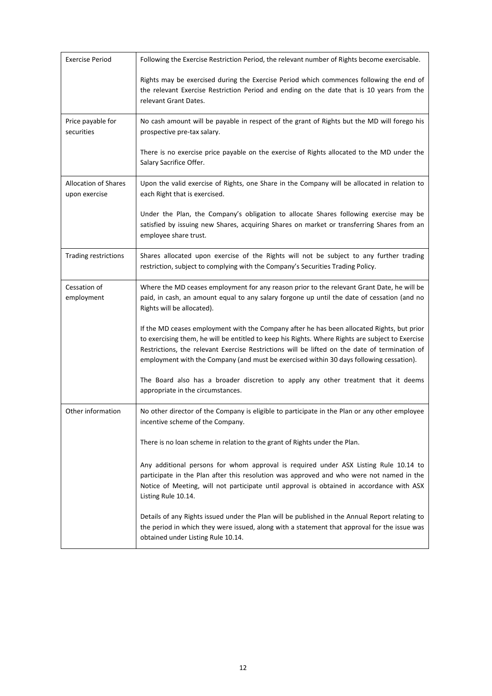| <b>Exercise Period</b>                       | Following the Exercise Restriction Period, the relevant number of Rights become exercisable.                                                                                                                                                                                                                                                                                               |
|----------------------------------------------|--------------------------------------------------------------------------------------------------------------------------------------------------------------------------------------------------------------------------------------------------------------------------------------------------------------------------------------------------------------------------------------------|
|                                              | Rights may be exercised during the Exercise Period which commences following the end of<br>the relevant Exercise Restriction Period and ending on the date that is 10 years from the<br>relevant Grant Dates.                                                                                                                                                                              |
| Price payable for<br>securities              | No cash amount will be payable in respect of the grant of Rights but the MD will forego his<br>prospective pre-tax salary.                                                                                                                                                                                                                                                                 |
|                                              | There is no exercise price payable on the exercise of Rights allocated to the MD under the<br>Salary Sacrifice Offer.                                                                                                                                                                                                                                                                      |
| <b>Allocation of Shares</b><br>upon exercise | Upon the valid exercise of Rights, one Share in the Company will be allocated in relation to<br>each Right that is exercised.                                                                                                                                                                                                                                                              |
|                                              | Under the Plan, the Company's obligation to allocate Shares following exercise may be<br>satisfied by issuing new Shares, acquiring Shares on market or transferring Shares from an<br>employee share trust.                                                                                                                                                                               |
| Trading restrictions                         | Shares allocated upon exercise of the Rights will not be subject to any further trading<br>restriction, subject to complying with the Company's Securities Trading Policy.                                                                                                                                                                                                                 |
| Cessation of<br>employment                   | Where the MD ceases employment for any reason prior to the relevant Grant Date, he will be<br>paid, in cash, an amount equal to any salary forgone up until the date of cessation (and no<br>Rights will be allocated).                                                                                                                                                                    |
|                                              | If the MD ceases employment with the Company after he has been allocated Rights, but prior<br>to exercising them, he will be entitled to keep his Rights. Where Rights are subject to Exercise<br>Restrictions, the relevant Exercise Restrictions will be lifted on the date of termination of<br>employment with the Company (and must be exercised within 30 days following cessation). |
|                                              | The Board also has a broader discretion to apply any other treatment that it deems<br>appropriate in the circumstances.                                                                                                                                                                                                                                                                    |
| Other information                            | No other director of the Company is eligible to participate in the Plan or any other employee<br>incentive scheme of the Company.                                                                                                                                                                                                                                                          |
|                                              | There is no loan scheme in relation to the grant of Rights under the Plan.                                                                                                                                                                                                                                                                                                                 |
|                                              | Any additional persons for whom approval is required under ASX Listing Rule 10.14 to<br>participate in the Plan after this resolution was approved and who were not named in the<br>Notice of Meeting, will not participate until approval is obtained in accordance with ASX<br>Listing Rule 10.14.                                                                                       |
|                                              | Details of any Rights issued under the Plan will be published in the Annual Report relating to<br>the period in which they were issued, along with a statement that approval for the issue was<br>obtained under Listing Rule 10.14.                                                                                                                                                       |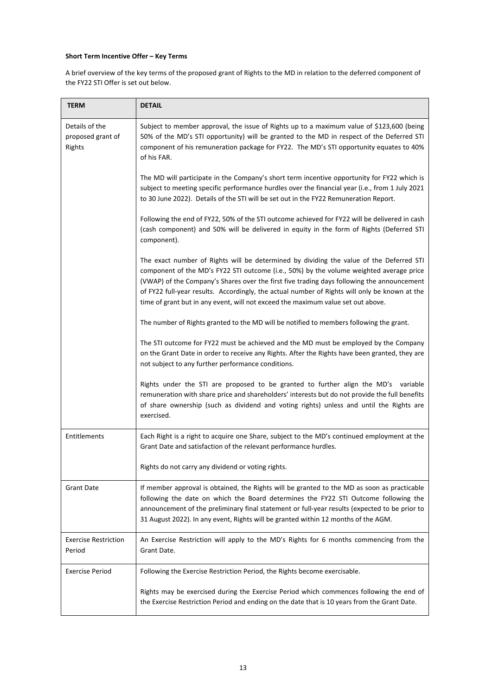### **Short Term Incentive Offer – Key Terms**

A brief overview of the key terms of the proposed grant of Rights to the MD in relation to the deferred component of the FY22 STI Offer is set out below.

| <b>TERM</b>                                   | <b>DETAIL</b>                                                                                                                                                                                                                                                                                                                                                                                                                                                         |
|-----------------------------------------------|-----------------------------------------------------------------------------------------------------------------------------------------------------------------------------------------------------------------------------------------------------------------------------------------------------------------------------------------------------------------------------------------------------------------------------------------------------------------------|
| Details of the<br>proposed grant of<br>Rights | Subject to member approval, the issue of Rights up to a maximum value of \$123,600 (being<br>50% of the MD's STI opportunity) will be granted to the MD in respect of the Deferred STI<br>component of his remuneration package for FY22. The MD's STI opportunity equates to 40%<br>of his FAR.                                                                                                                                                                      |
|                                               | The MD will participate in the Company's short term incentive opportunity for FY22 which is<br>subject to meeting specific performance hurdles over the financial year (i.e., from 1 July 2021<br>to 30 June 2022). Details of the STI will be set out in the FY22 Remuneration Report.                                                                                                                                                                               |
|                                               | Following the end of FY22, 50% of the STI outcome achieved for FY22 will be delivered in cash<br>(cash component) and 50% will be delivered in equity in the form of Rights (Deferred STI<br>component).                                                                                                                                                                                                                                                              |
|                                               | The exact number of Rights will be determined by dividing the value of the Deferred STI<br>component of the MD's FY22 STI outcome (i.e., 50%) by the volume weighted average price<br>(VWAP) of the Company's Shares over the first five trading days following the announcement<br>of FY22 full-year results. Accordingly, the actual number of Rights will only be known at the<br>time of grant but in any event, will not exceed the maximum value set out above. |
|                                               | The number of Rights granted to the MD will be notified to members following the grant.                                                                                                                                                                                                                                                                                                                                                                               |
|                                               | The STI outcome for FY22 must be achieved and the MD must be employed by the Company<br>on the Grant Date in order to receive any Rights. After the Rights have been granted, they are<br>not subject to any further performance conditions.                                                                                                                                                                                                                          |
|                                               | Rights under the STI are proposed to be granted to further align the MD's variable<br>remuneration with share price and shareholders' interests but do not provide the full benefits<br>of share ownership (such as dividend and voting rights) unless and until the Rights are<br>exercised.                                                                                                                                                                         |
| Entitlements                                  | Each Right is a right to acquire one Share, subject to the MD's continued employment at the<br>Grant Date and satisfaction of the relevant performance hurdles.                                                                                                                                                                                                                                                                                                       |
|                                               | Rights do not carry any dividend or voting rights.                                                                                                                                                                                                                                                                                                                                                                                                                    |
| <b>Grant Date</b>                             | If member approval is obtained, the Rights will be granted to the MD as soon as practicable<br>following the date on which the Board determines the FY22 STI Outcome following the<br>announcement of the preliminary final statement or full-year results (expected to be prior to<br>31 August 2022). In any event, Rights will be granted within 12 months of the AGM.                                                                                             |
| <b>Exercise Restriction</b><br>Period         | An Exercise Restriction will apply to the MD's Rights for 6 months commencing from the<br>Grant Date.                                                                                                                                                                                                                                                                                                                                                                 |
| <b>Exercise Period</b>                        | Following the Exercise Restriction Period, the Rights become exercisable.                                                                                                                                                                                                                                                                                                                                                                                             |
|                                               | Rights may be exercised during the Exercise Period which commences following the end of<br>the Exercise Restriction Period and ending on the date that is 10 years from the Grant Date.                                                                                                                                                                                                                                                                               |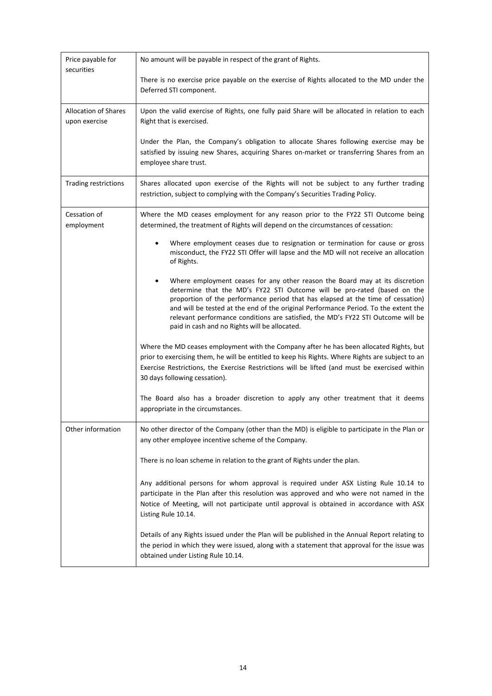| Price payable for<br>securities              | No amount will be payable in respect of the grant of Rights.                                                                                                                                                                                                                                                                                                                                                                                                                         |
|----------------------------------------------|--------------------------------------------------------------------------------------------------------------------------------------------------------------------------------------------------------------------------------------------------------------------------------------------------------------------------------------------------------------------------------------------------------------------------------------------------------------------------------------|
|                                              | There is no exercise price payable on the exercise of Rights allocated to the MD under the<br>Deferred STI component.                                                                                                                                                                                                                                                                                                                                                                |
| <b>Allocation of Shares</b><br>upon exercise | Upon the valid exercise of Rights, one fully paid Share will be allocated in relation to each<br>Right that is exercised.                                                                                                                                                                                                                                                                                                                                                            |
|                                              | Under the Plan, the Company's obligation to allocate Shares following exercise may be<br>satisfied by issuing new Shares, acquiring Shares on-market or transferring Shares from an<br>employee share trust.                                                                                                                                                                                                                                                                         |
| Trading restrictions                         | Shares allocated upon exercise of the Rights will not be subject to any further trading<br>restriction, subject to complying with the Company's Securities Trading Policy.                                                                                                                                                                                                                                                                                                           |
| Cessation of<br>employment                   | Where the MD ceases employment for any reason prior to the FY22 STI Outcome being<br>determined, the treatment of Rights will depend on the circumstances of cessation:                                                                                                                                                                                                                                                                                                              |
|                                              | Where employment ceases due to resignation or termination for cause or gross<br>misconduct, the FY22 STI Offer will lapse and the MD will not receive an allocation<br>of Rights.                                                                                                                                                                                                                                                                                                    |
|                                              | Where employment ceases for any other reason the Board may at its discretion<br>$\bullet$<br>determine that the MD's FY22 STI Outcome will be pro-rated (based on the<br>proportion of the performance period that has elapsed at the time of cessation)<br>and will be tested at the end of the original Performance Period. To the extent the<br>relevant performance conditions are satisfied, the MD's FY22 STI Outcome will be<br>paid in cash and no Rights will be allocated. |
|                                              | Where the MD ceases employment with the Company after he has been allocated Rights, but<br>prior to exercising them, he will be entitled to keep his Rights. Where Rights are subject to an<br>Exercise Restrictions, the Exercise Restrictions will be lifted (and must be exercised within<br>30 days following cessation).                                                                                                                                                        |
|                                              | The Board also has a broader discretion to apply any other treatment that it deems<br>appropriate in the circumstances.                                                                                                                                                                                                                                                                                                                                                              |
| Other information                            | No other director of the Company (other than the MD) is eligible to participate in the Plan or<br>any other employee incentive scheme of the Company.                                                                                                                                                                                                                                                                                                                                |
|                                              | There is no loan scheme in relation to the grant of Rights under the plan.                                                                                                                                                                                                                                                                                                                                                                                                           |
|                                              | Any additional persons for whom approval is required under ASX Listing Rule 10.14 to<br>participate in the Plan after this resolution was approved and who were not named in the<br>Notice of Meeting, will not participate until approval is obtained in accordance with ASX<br>Listing Rule 10.14.                                                                                                                                                                                 |
|                                              | Details of any Rights issued under the Plan will be published in the Annual Report relating to<br>the period in which they were issued, along with a statement that approval for the issue was<br>obtained under Listing Rule 10.14.                                                                                                                                                                                                                                                 |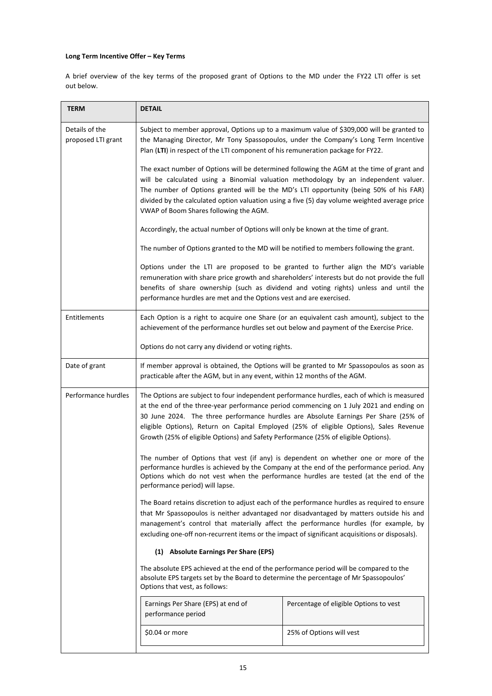## **Long Term Incentive Offer – Key Terms**

A brief overview of the key terms of the proposed grant of Options to the MD under the FY22 LTI offer is set out below.

| <b>TERM</b>                          | <b>DETAIL</b>                                                                                                                                                                                                                                                                                                                                                                                                                                                                                                                                                                                                                                                                                   |                                        |  |
|--------------------------------------|-------------------------------------------------------------------------------------------------------------------------------------------------------------------------------------------------------------------------------------------------------------------------------------------------------------------------------------------------------------------------------------------------------------------------------------------------------------------------------------------------------------------------------------------------------------------------------------------------------------------------------------------------------------------------------------------------|----------------------------------------|--|
| Details of the<br>proposed LTI grant | Subject to member approval, Options up to a maximum value of \$309,000 will be granted to<br>the Managing Director, Mr Tony Spassopoulos, under the Company's Long Term Incentive<br>Plan (LTI) in respect of the LTI component of his remuneration package for FY22.<br>The exact number of Options will be determined following the AGM at the time of grant and<br>will be calculated using a Binomial valuation methodology by an independent valuer.<br>The number of Options granted will be the MD's LTI opportunity (being 50% of his FAR)<br>divided by the calculated option valuation using a five (5) day volume weighted average price<br>VWAP of Boom Shares following the AGM.   |                                        |  |
|                                      |                                                                                                                                                                                                                                                                                                                                                                                                                                                                                                                                                                                                                                                                                                 |                                        |  |
|                                      | Accordingly, the actual number of Options will only be known at the time of grant.                                                                                                                                                                                                                                                                                                                                                                                                                                                                                                                                                                                                              |                                        |  |
|                                      | The number of Options granted to the MD will be notified to members following the grant.                                                                                                                                                                                                                                                                                                                                                                                                                                                                                                                                                                                                        |                                        |  |
|                                      | Options under the LTI are proposed to be granted to further align the MD's variable<br>remuneration with share price growth and shareholders' interests but do not provide the full<br>benefits of share ownership (such as dividend and voting rights) unless and until the<br>performance hurdles are met and the Options vest and are exercised.                                                                                                                                                                                                                                                                                                                                             |                                        |  |
| Entitlements                         | Each Option is a right to acquire one Share (or an equivalent cash amount), subject to the<br>achievement of the performance hurdles set out below and payment of the Exercise Price.                                                                                                                                                                                                                                                                                                                                                                                                                                                                                                           |                                        |  |
|                                      | Options do not carry any dividend or voting rights.                                                                                                                                                                                                                                                                                                                                                                                                                                                                                                                                                                                                                                             |                                        |  |
| Date of grant                        | If member approval is obtained, the Options will be granted to Mr Spassopoulos as soon as<br>practicable after the AGM, but in any event, within 12 months of the AGM.                                                                                                                                                                                                                                                                                                                                                                                                                                                                                                                          |                                        |  |
| Performance hurdles                  | The Options are subject to four independent performance hurdles, each of which is measured<br>at the end of the three-year performance period commencing on 1 July 2021 and ending on<br>30 June 2024. The three performance hurdles are Absolute Earnings Per Share (25% of<br>eligible Options), Return on Capital Employed (25% of eligible Options), Sales Revenue<br>Growth (25% of eligible Options) and Safety Performance (25% of eligible Options).                                                                                                                                                                                                                                    |                                        |  |
|                                      | The number of Options that vest (if any) is dependent on whether one or more of the<br>performance hurdles is achieved by the Company at the end of the performance period. Any<br>Options which do not vest when the performance hurdles are tested (at the end of the<br>performance period) will lapse.<br>The Board retains discretion to adjust each of the performance hurdles as required to ensure<br>that Mr Spassopoulos is neither advantaged nor disadvantaged by matters outside his and<br>management's control that materially affect the performance hurdles (for example, by<br>excluding one-off non-recurrent items or the impact of significant acquisitions or disposals). |                                        |  |
|                                      |                                                                                                                                                                                                                                                                                                                                                                                                                                                                                                                                                                                                                                                                                                 |                                        |  |
|                                      | (1) Absolute Earnings Per Share (EPS)                                                                                                                                                                                                                                                                                                                                                                                                                                                                                                                                                                                                                                                           |                                        |  |
|                                      | The absolute EPS achieved at the end of the performance period will be compared to the<br>absolute EPS targets set by the Board to determine the percentage of Mr Spassopoulos'<br>Options that vest, as follows:                                                                                                                                                                                                                                                                                                                                                                                                                                                                               |                                        |  |
|                                      | Earnings Per Share (EPS) at end of<br>performance period                                                                                                                                                                                                                                                                                                                                                                                                                                                                                                                                                                                                                                        | Percentage of eligible Options to vest |  |
|                                      | \$0.04 or more                                                                                                                                                                                                                                                                                                                                                                                                                                                                                                                                                                                                                                                                                  | 25% of Options will vest               |  |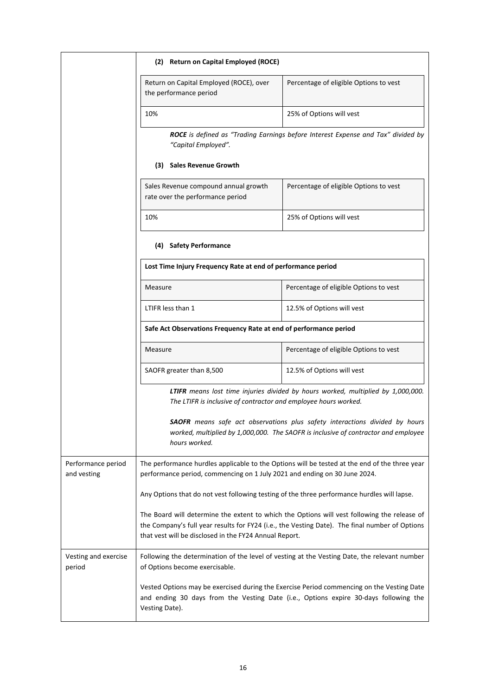|                                   | (2) Return on Capital Employed (ROCE)                                                                                                                                      |                                                                                                                                                                                               |
|-----------------------------------|----------------------------------------------------------------------------------------------------------------------------------------------------------------------------|-----------------------------------------------------------------------------------------------------------------------------------------------------------------------------------------------|
|                                   | Return on Capital Employed (ROCE), over<br>the performance period                                                                                                          | Percentage of eligible Options to vest                                                                                                                                                        |
|                                   | 10%                                                                                                                                                                        | 25% of Options will vest                                                                                                                                                                      |
|                                   | "Capital Employed".                                                                                                                                                        | ROCE is defined as "Trading Earnings before Interest Expense and Tax" divided by                                                                                                              |
|                                   | (3) Sales Revenue Growth                                                                                                                                                   |                                                                                                                                                                                               |
|                                   | Sales Revenue compound annual growth<br>rate over the performance period                                                                                                   | Percentage of eligible Options to vest                                                                                                                                                        |
|                                   | 10%                                                                                                                                                                        | 25% of Options will vest                                                                                                                                                                      |
|                                   | (4) Safety Performance                                                                                                                                                     |                                                                                                                                                                                               |
|                                   | Lost Time Injury Frequency Rate at end of performance period                                                                                                               |                                                                                                                                                                                               |
|                                   | Measure                                                                                                                                                                    | Percentage of eligible Options to vest                                                                                                                                                        |
|                                   | LTIFR less than 1                                                                                                                                                          | 12.5% of Options will vest                                                                                                                                                                    |
|                                   | Safe Act Observations Frequency Rate at end of performance period                                                                                                          |                                                                                                                                                                                               |
|                                   | Measure                                                                                                                                                                    | Percentage of eligible Options to vest                                                                                                                                                        |
|                                   | SAOFR greater than 8,500                                                                                                                                                   | 12.5% of Options will vest                                                                                                                                                                    |
|                                   | The LTIFR is inclusive of contractor and employee hours worked.                                                                                                            | LTIFR means lost time injuries divided by hours worked, multiplied by 1,000,000.                                                                                                              |
|                                   | hours worked.                                                                                                                                                              | <b>SAOFR</b> means safe act observations plus safety interactions divided by hours<br>worked, multiplied by 1,000,000. The SAOFR is inclusive of contractor and employee                      |
| Performance period<br>and vesting | The performance hurdles applicable to the Options will be tested at the end of the three year<br>performance period, commencing on 1 July 2021 and ending on 30 June 2024. |                                                                                                                                                                                               |
|                                   | Any Options that do not vest following testing of the three performance hurdles will lapse.                                                                                |                                                                                                                                                                                               |
|                                   | that vest will be disclosed in the FY24 Annual Report.                                                                                                                     | The Board will determine the extent to which the Options will vest following the release of<br>the Company's full year results for FY24 (i.e., the Vesting Date). The final number of Options |
| Vesting and exercise<br>period    | of Options become exercisable.                                                                                                                                             | Following the determination of the level of vesting at the Vesting Date, the relevant number                                                                                                  |
|                                   | Vesting Date).                                                                                                                                                             | Vested Options may be exercised during the Exercise Period commencing on the Vesting Date<br>and ending 30 days from the Vesting Date (i.e., Options expire 30-days following the             |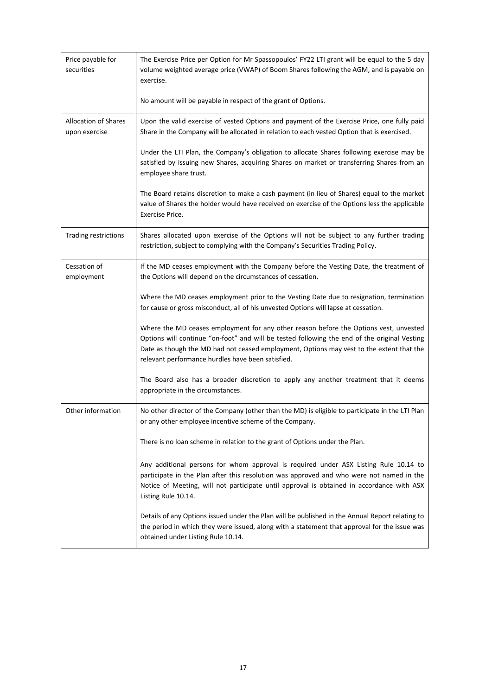| Price payable for<br>securities              | The Exercise Price per Option for Mr Spassopoulos' FY22 LTI grant will be equal to the 5 day<br>volume weighted average price (VWAP) of Boom Shares following the AGM, and is payable on<br>exercise.                                                                                                                                  |
|----------------------------------------------|----------------------------------------------------------------------------------------------------------------------------------------------------------------------------------------------------------------------------------------------------------------------------------------------------------------------------------------|
|                                              | No amount will be payable in respect of the grant of Options.                                                                                                                                                                                                                                                                          |
| <b>Allocation of Shares</b><br>upon exercise | Upon the valid exercise of vested Options and payment of the Exercise Price, one fully paid<br>Share in the Company will be allocated in relation to each vested Option that is exercised.                                                                                                                                             |
|                                              | Under the LTI Plan, the Company's obligation to allocate Shares following exercise may be<br>satisfied by issuing new Shares, acquiring Shares on market or transferring Shares from an<br>employee share trust.                                                                                                                       |
|                                              | The Board retains discretion to make a cash payment (in lieu of Shares) equal to the market<br>value of Shares the holder would have received on exercise of the Options less the applicable<br>Exercise Price.                                                                                                                        |
| Trading restrictions                         | Shares allocated upon exercise of the Options will not be subject to any further trading<br>restriction, subject to complying with the Company's Securities Trading Policy.                                                                                                                                                            |
| Cessation of<br>employment                   | If the MD ceases employment with the Company before the Vesting Date, the treatment of<br>the Options will depend on the circumstances of cessation.                                                                                                                                                                                   |
|                                              | Where the MD ceases employment prior to the Vesting Date due to resignation, termination<br>for cause or gross misconduct, all of his unvested Options will lapse at cessation.                                                                                                                                                        |
|                                              | Where the MD ceases employment for any other reason before the Options vest, unvested<br>Options will continue "on-foot" and will be tested following the end of the original Vesting<br>Date as though the MD had not ceased employment, Options may vest to the extent that the<br>relevant performance hurdles have been satisfied. |
|                                              | The Board also has a broader discretion to apply any another treatment that it deems<br>appropriate in the circumstances.                                                                                                                                                                                                              |
| Other information                            | No other director of the Company (other than the MD) is eligible to participate in the LTI Plan<br>or any other employee incentive scheme of the Company.                                                                                                                                                                              |
|                                              | There is no loan scheme in relation to the grant of Options under the Plan.                                                                                                                                                                                                                                                            |
|                                              | Any additional persons for whom approval is required under ASX Listing Rule 10.14 to<br>participate in the Plan after this resolution was approved and who were not named in the<br>Notice of Meeting, will not participate until approval is obtained in accordance with ASX<br>Listing Rule 10.14.                                   |
|                                              | Details of any Options issued under the Plan will be published in the Annual Report relating to<br>the period in which they were issued, along with a statement that approval for the issue was<br>obtained under Listing Rule 10.14.                                                                                                  |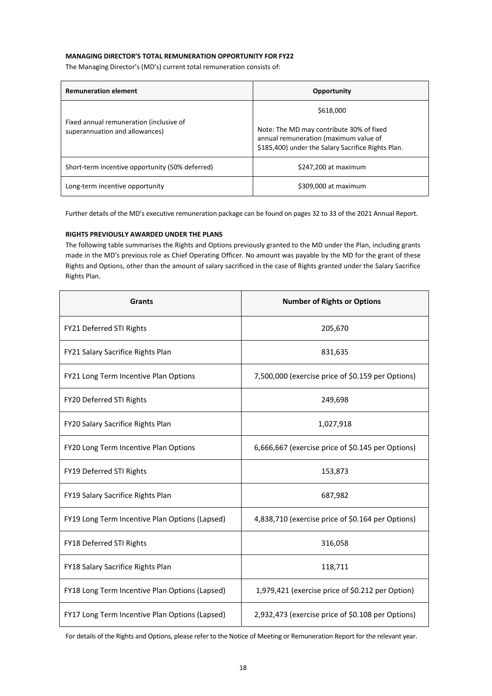#### **MANAGING DIRECTOR'S TOTAL REMUNERATION OPPORTUNITY FOR FY22**

The Managing Director's (MD's) current total remuneration consists of:

| <b>Remuneration element</b>                                               | Opportunity                                                                                                                             |
|---------------------------------------------------------------------------|-----------------------------------------------------------------------------------------------------------------------------------------|
| Fixed annual remuneration (inclusive of<br>superannuation and allowances) | \$618,000                                                                                                                               |
|                                                                           | Note: The MD may contribute 30% of fixed<br>annual remuneration (maximum value of<br>\$185,400) under the Salary Sacrifice Rights Plan. |
| Short-term incentive opportunity (50% deferred)                           | \$247,200 at maximum                                                                                                                    |
| Long-term incentive opportunity                                           | \$309,000 at maximum                                                                                                                    |

Further details of the MD's executive remuneration package can be found on pages 32 to 33 of the 2021 Annual Report.

#### **RIGHTS PREVIOUSLY AWARDED UNDER THE PLANS**

The following table summarises the Rights and Options previously granted to the MD under the Plan, including grants made in the MD's previous role as Chief Operating Officer. No amount was payable by the MD for the grant of these Rights and Options, other than the amount of salary sacrificed in the case of Rights granted under the Salary Sacrifice Rights Plan.

| <b>Grants</b>                                  | <b>Number of Rights or Options</b>                |
|------------------------------------------------|---------------------------------------------------|
| FY21 Deferred STI Rights                       | 205,670                                           |
| FY21 Salary Sacrifice Rights Plan              | 831,635                                           |
| FY21 Long Term Incentive Plan Options          | 7,500,000 (exercise price of \$0.159 per Options) |
| FY20 Deferred STI Rights                       | 249,698                                           |
| FY20 Salary Sacrifice Rights Plan              | 1,027,918                                         |
| FY20 Long Term Incentive Plan Options          | 6,666,667 (exercise price of \$0.145 per Options) |
| FY19 Deferred STI Rights                       | 153,873                                           |
| FY19 Salary Sacrifice Rights Plan              | 687,982                                           |
| FY19 Long Term Incentive Plan Options (Lapsed) | 4,838,710 (exercise price of \$0.164 per Options) |
| FY18 Deferred STI Rights                       | 316,058                                           |
| FY18 Salary Sacrifice Rights Plan              | 118,711                                           |
| FY18 Long Term Incentive Plan Options (Lapsed) | 1,979,421 (exercise price of \$0.212 per Option)  |
| FY17 Long Term Incentive Plan Options (Lapsed) | 2,932,473 (exercise price of \$0.108 per Options) |

For details of the Rights and Options, please refer to the Notice of Meeting or Remuneration Report for the relevant year.